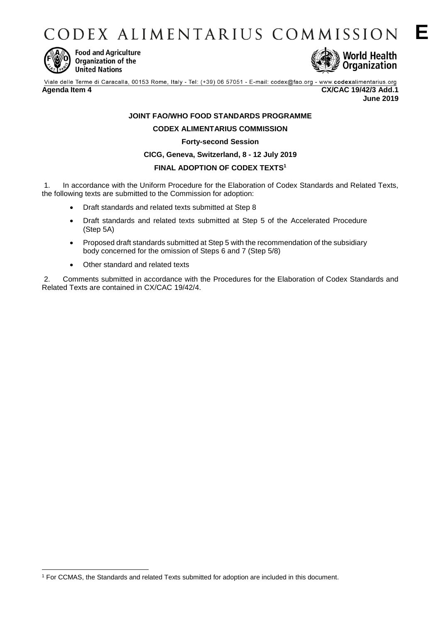CODEX ALIMENTARIUS COMMISSION



-

**Food and Agriculture** Organization of the **United Nations** 



Viale delle Terme di Caracalla, 00153 Rome, Italy - Tel: (+39) 06 57051 - E-mail: codex@fao.org - www.codexalimentarius.org

**Agenda Item 4 CX/CAC 19/42/3 Add.1 June 2019**

## **JOINT FAO/WHO FOOD STANDARDS PROGRAMME**

**CODEX ALIMENTARIUS COMMISSION**

#### **Forty-second Session**

#### **CICG, Geneva, Switzerland, 8 - 12 July 2019**

### **FINAL ADOPTION OF CODEX TEXTS<sup>1</sup>**

1. In accordance with the Uniform Procedure for the Elaboration of Codex Standards and Related Texts, the following texts are submitted to the Commission for adoption:

- Draft standards and related texts submitted at Step 8
- Draft standards and related texts submitted at Step 5 of the Accelerated Procedure (Step 5A)
- Proposed draft standards submitted at Step 5 with the recommendation of the subsidiary body concerned for the omission of Steps 6 and 7 (Step 5/8)
- Other standard and related texts

2. Comments submitted in accordance with the Procedures for the Elaboration of Codex Standards and Related Texts are contained in CX/CAC 19/42/4.

<sup>1</sup> For CCMAS, the Standards and related Texts submitted for adoption are included in this document.